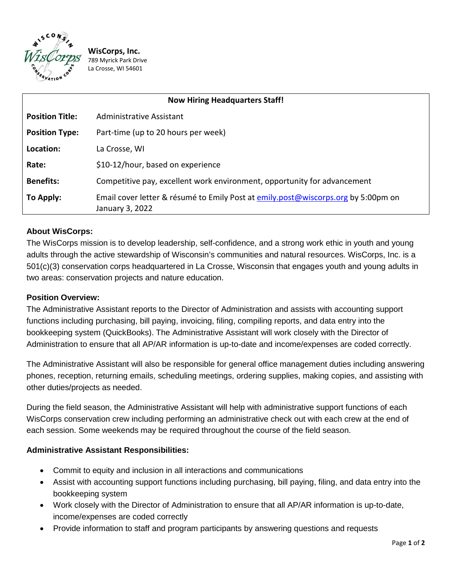

**WisCorps, Inc.** 789 Myrick Park Drive La Crosse, WI 54601

| <b>Now Hiring Headquarters Staff!</b> |                                                                                                      |
|---------------------------------------|------------------------------------------------------------------------------------------------------|
| <b>Position Title:</b>                | Administrative Assistant                                                                             |
| <b>Position Type:</b>                 | Part-time (up to 20 hours per week)                                                                  |
| Location:                             | La Crosse, WI                                                                                        |
| Rate:                                 | \$10-12/hour, based on experience                                                                    |
| <b>Benefits:</b>                      | Competitive pay, excellent work environment, opportunity for advancement                             |
| To Apply:                             | Email cover letter & résumé to Emily Post at emily.post@wiscorps.org by 5:00pm on<br>January 3, 2022 |

## **About WisCorps:**

The WisCorps mission is to develop leadership, self-confidence, and a strong work ethic in youth and young adults through the active stewardship of Wisconsin's communities and natural resources. WisCorps, Inc. is a 501(c)(3) conservation corps headquartered in La Crosse, Wisconsin that engages youth and young adults in two areas: conservation projects and nature education.

## **Position Overview:**

The Administrative Assistant reports to the Director of Administration and assists with accounting support functions including purchasing, bill paying, invoicing, filing, compiling reports, and data entry into the bookkeeping system (QuickBooks). The Administrative Assistant will work closely with the Director of Administration to ensure that all AP/AR information is up-to-date and income/expenses are coded correctly.

The Administrative Assistant will also be responsible for general office management duties including answering phones, reception, returning emails, scheduling meetings, ordering supplies, making copies, and assisting with other duties/projects as needed.

During the field season, the Administrative Assistant will help with administrative support functions of each WisCorps conservation crew including performing an administrative check out with each crew at the end of each session. Some weekends may be required throughout the course of the field season.

## **Administrative Assistant Responsibilities:**

- Commit to equity and inclusion in all interactions and communications
- Assist with accounting support functions including purchasing, bill paying, filing, and data entry into the bookkeeping system
- Work closely with the Director of Administration to ensure that all AP/AR information is up-to-date, income/expenses are coded correctly
- Provide information to staff and program participants by answering questions and requests